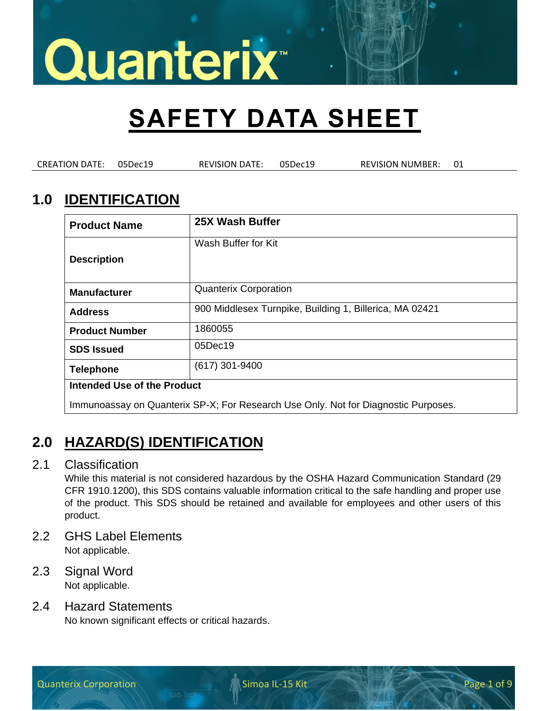## **SAFETY DATA SHEET**

CREATION DATE: 05Dec19 REVISION DATE: 05Dec19 REVISION NUMBER: 01

### **1.0 IDENTIFICATION**

| <b>Product Name</b>                                                                | 25X Wash Buffer                                         |
|------------------------------------------------------------------------------------|---------------------------------------------------------|
| <b>Description</b>                                                                 | Wash Buffer for Kit                                     |
| <b>Manufacturer</b>                                                                | <b>Quanterix Corporation</b>                            |
| <b>Address</b>                                                                     | 900 Middlesex Turnpike, Building 1, Billerica, MA 02421 |
| <b>Product Number</b>                                                              | 1860055                                                 |
| <b>SDS Issued</b>                                                                  | 05Dec19                                                 |
| <b>Telephone</b>                                                                   | $(617)$ 301-9400                                        |
| Intended Use of the Product                                                        |                                                         |
| Immunoassay on Quanterix SP-X; For Research Use Only. Not for Diagnostic Purposes. |                                                         |

### **2.0 HAZARD(S) IDENTIFICATION**

#### 2.1 Classification

While this material is not considered hazardous by the OSHA Hazard Communication Standard (29 CFR 1910.1200), this SDS contains valuable information critical to the safe handling and proper use of the product. This SDS should be retained and available for employees and other users of this product.

- 2.2 GHS Label Elements Not applicable.
- 2.3 Signal Word Not applicable.

#### 2.4 Hazard Statements

No known significant effects or critical hazards.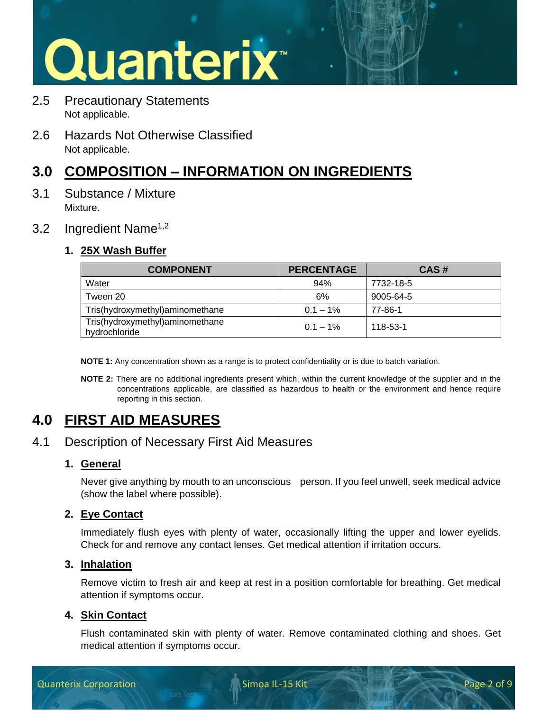- 2.5 Precautionary Statements Not applicable.
- 2.6 Hazards Not Otherwise Classified Not applicable.

## **3.0 COMPOSITION – INFORMATION ON INGREDIENTS**

3.1 Substance / Mixture Mixture.

#### 3.2 Ingredient Name<sup>1,2</sup>

#### **1. 25X Wash Buffer**

| <b>COMPONENT</b>                                 | <b>PERCENTAGE</b> | CAS#      |
|--------------------------------------------------|-------------------|-----------|
| Water                                            | 94%               | 7732-18-5 |
| Tween 20                                         | 6%                | 9005-64-5 |
| Tris(hydroxymethyl)aminomethane                  | $0.1 - 1\%$       | 77-86-1   |
| Tris(hydroxymethyl)aminomethane<br>hydrochloride | $0.1 - 1\%$       | 118-53-1  |

**NOTE 1:** Any concentration shown as a range is to protect confidentiality or is due to batch variation.

**NOTE 2:** There are no additional ingredients present which, within the current knowledge of the supplier and in the concentrations applicable, are classified as hazardous to health or the environment and hence require reporting in this section.

## **4.0 FIRST AID MEASURES**

#### 4.1 Description of Necessary First Aid Measures

#### **1. General**

Never give anything by mouth to an unconscious person. If you feel unwell, seek medical advice (show the label where possible).

#### **2. Eye Contact**

Immediately flush eyes with plenty of water, occasionally lifting the upper and lower eyelids. Check for and remove any contact lenses. Get medical attention if irritation occurs.

#### **3. Inhalation**

Remove victim to fresh air and keep at rest in a position comfortable for breathing. Get medical attention if symptoms occur.

#### **4. Skin Contact**

Flush contaminated skin with plenty of water. Remove contaminated clothing and shoes. Get medical attention if symptoms occur.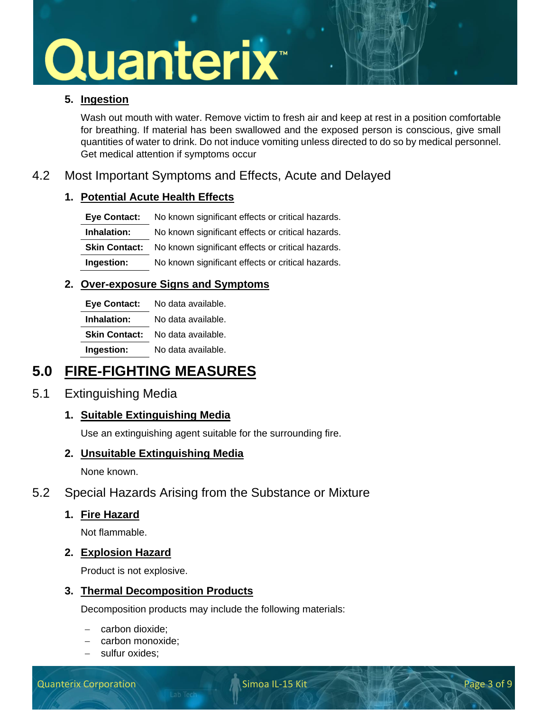#### **5. Ingestion**

Wash out mouth with water. Remove victim to fresh air and keep at rest in a position comfortable for breathing. If material has been swallowed and the exposed person is conscious, give small quantities of water to drink. Do not induce vomiting unless directed to do so by medical personnel. Get medical attention if symptoms occur

#### 4.2 Most Important Symptoms and Effects, Acute and Delayed

#### **1. Potential Acute Health Effects**

| <b>Eve Contact:</b> | No known significant effects or critical hazards.                      |
|---------------------|------------------------------------------------------------------------|
| Inhalation:         | No known significant effects or critical hazards.                      |
|                     | <b>Skin Contact:</b> No known significant effects or critical hazards. |
| Ingestion:          | No known significant effects or critical hazards.                      |

#### **2. Over-exposure Signs and Symptoms**

| <b>Eye Contact:</b>  | No data available. |
|----------------------|--------------------|
| Inhalation:          | No data available. |
| <b>Skin Contact:</b> | No data available. |
| Ingestion:           | No data available. |

### **5.0 FIRE-FIGHTING MEASURES**

#### 5.1 Extinguishing Media

#### **1. Suitable Extinguishing Media**

Use an extinguishing agent suitable for the surrounding fire.

#### **2. Unsuitable Extinguishing Media**

None known.

#### 5.2 Special Hazards Arising from the Substance or Mixture

#### **1. Fire Hazard**

Not flammable.

#### **2. Explosion Hazard**

Product is not explosive.

#### **3. Thermal Decomposition Products**

Decomposition products may include the following materials:

- − carbon dioxide;
- − carbon monoxide;
- sulfur oxides: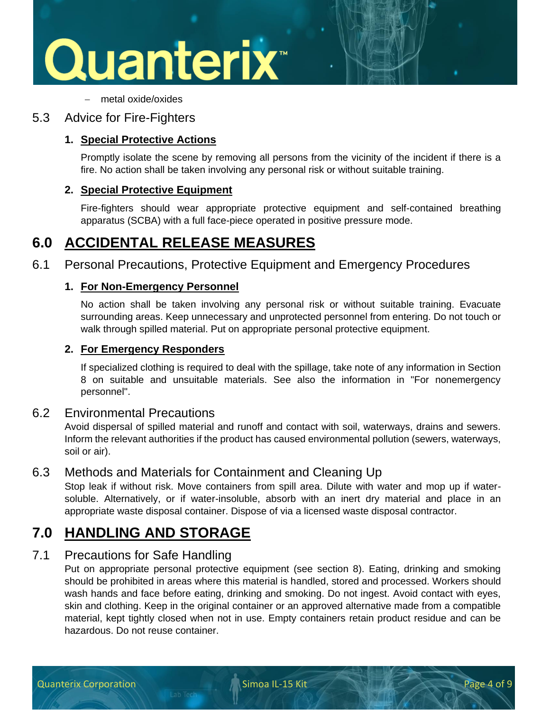

− metal oxide/oxides

#### 5.3 Advice for Fire-Fighters

#### **1. Special Protective Actions**

Promptly isolate the scene by removing all persons from the vicinity of the incident if there is a fire. No action shall be taken involving any personal risk or without suitable training.

#### **2. Special Protective Equipment**

Fire-fighters should wear appropriate protective equipment and self-contained breathing apparatus (SCBA) with a full face-piece operated in positive pressure mode.

### **6.0 ACCIDENTAL RELEASE MEASURES**

6.1 Personal Precautions, Protective Equipment and Emergency Procedures

#### **1. For Non-Emergency Personnel**

No action shall be taken involving any personal risk or without suitable training. Evacuate surrounding areas. Keep unnecessary and unprotected personnel from entering. Do not touch or walk through spilled material. Put on appropriate personal protective equipment.

#### **2. For Emergency Responders**

If specialized clothing is required to deal with the spillage, take note of any information in Section 8 on suitable and unsuitable materials. See also the information in "For nonemergency personnel".

#### 6.2 Environmental Precautions

Avoid dispersal of spilled material and runoff and contact with soil, waterways, drains and sewers. Inform the relevant authorities if the product has caused environmental pollution (sewers, waterways, soil or air).

#### 6.3 Methods and Materials for Containment and Cleaning Up

Stop leak if without risk. Move containers from spill area. Dilute with water and mop up if watersoluble. Alternatively, or if water-insoluble, absorb with an inert dry material and place in an appropriate waste disposal container. Dispose of via a licensed waste disposal contractor.

### **7.0 HANDLING AND STORAGE**

#### 7.1 Precautions for Safe Handling

Put on appropriate personal protective equipment (see section 8). Eating, drinking and smoking should be prohibited in areas where this material is handled, stored and processed. Workers should wash hands and face before eating, drinking and smoking. Do not ingest. Avoid contact with eyes, skin and clothing. Keep in the original container or an approved alternative made from a compatible material, kept tightly closed when not in use. Empty containers retain product residue and can be hazardous. Do not reuse container.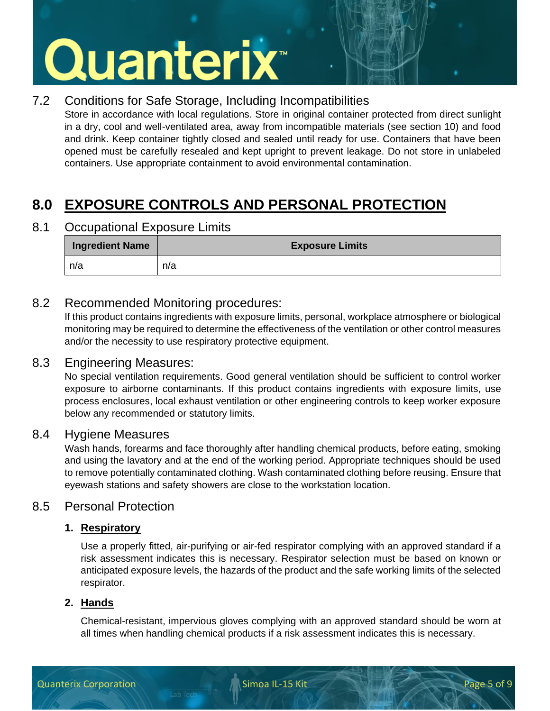#### 7.2 Conditions for Safe Storage, Including Incompatibilities

Store in accordance with local regulations. Store in original container protected from direct sunlight in a dry, cool and well-ventilated area, away from incompatible materials (see section 10) and food and drink. Keep container tightly closed and sealed until ready for use. Containers that have been opened must be carefully resealed and kept upright to prevent leakage. Do not store in unlabeled containers. Use appropriate containment to avoid environmental contamination.

## **8.0 EXPOSURE CONTROLS AND PERSONAL PROTECTION**

8.1 Occupational Exposure Limits

| <b>Ingredient Name</b> | <b>Exposure Limits</b> |
|------------------------|------------------------|
| n/a                    | n/a                    |

#### 8.2 Recommended Monitoring procedures:

If this product contains ingredients with exposure limits, personal, workplace atmosphere or biological monitoring may be required to determine the effectiveness of the ventilation or other control measures and/or the necessity to use respiratory protective equipment.

#### 8.3 Engineering Measures:

No special ventilation requirements. Good general ventilation should be sufficient to control worker exposure to airborne contaminants. If this product contains ingredients with exposure limits, use process enclosures, local exhaust ventilation or other engineering controls to keep worker exposure below any recommended or statutory limits.

#### 8.4 Hygiene Measures

Wash hands, forearms and face thoroughly after handling chemical products, before eating, smoking and using the lavatory and at the end of the working period. Appropriate techniques should be used to remove potentially contaminated clothing. Wash contaminated clothing before reusing. Ensure that eyewash stations and safety showers are close to the workstation location.

#### 8.5 Personal Protection

#### **1. Respiratory**

Use a properly fitted, air-purifying or air-fed respirator complying with an approved standard if a risk assessment indicates this is necessary. Respirator selection must be based on known or anticipated exposure levels, the hazards of the product and the safe working limits of the selected respirator.

#### **2. Hands**

Chemical-resistant, impervious gloves complying with an approved standard should be worn at all times when handling chemical products if a risk assessment indicates this is necessary.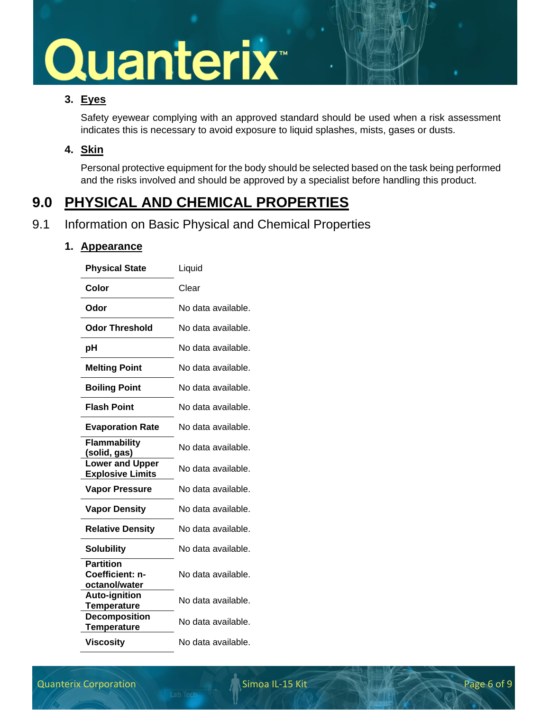#### **3. Eyes**

Safety eyewear complying with an approved standard should be used when a risk assessment indicates this is necessary to avoid exposure to liquid splashes, mists, gases or dusts.

#### **4. Skin**

Personal protective equipment for the body should be selected based on the task being performed and the risks involved and should be approved by a specialist before handling this product.

## **9.0 PHYSICAL AND CHEMICAL PROPERTIES**

#### 9.1 Information on Basic Physical and Chemical Properties

#### **1. Appearance**

| <b>Physical State</b>                                | Liquid             |
|------------------------------------------------------|--------------------|
| Color                                                | Clear              |
| Odor                                                 | No data available. |
| <b>Odor Threshold</b>                                | No data available. |
| рH                                                   | No data available. |
| <b>Melting Point</b>                                 | No data available. |
| <b>Boiling Point</b>                                 | No data available. |
| <b>Flash Point</b>                                   | No data available. |
| <b>Evaporation Rate</b>                              | No data available. |
| Flammability<br>(solid, gas)                         | No data available. |
| <b>Lower and Upper</b><br><b>Explosive Limits</b>    | No data available. |
| <b>Vapor Pressure</b>                                | No data available. |
| <b>Vapor Density</b>                                 | No data available. |
| <b>Relative Density</b>                              | No data available. |
| <b>Solubility</b>                                    | No data available. |
| <b>Partition</b><br>Coefficient: n-<br>octanol/water | No data available. |
| <b>Auto-ignition</b><br><b>Temperature</b>           | No data available. |
| <b>Decomposition</b><br><b>Temperature</b>           | No data available. |
| <b>Viscosity</b>                                     | No data available. |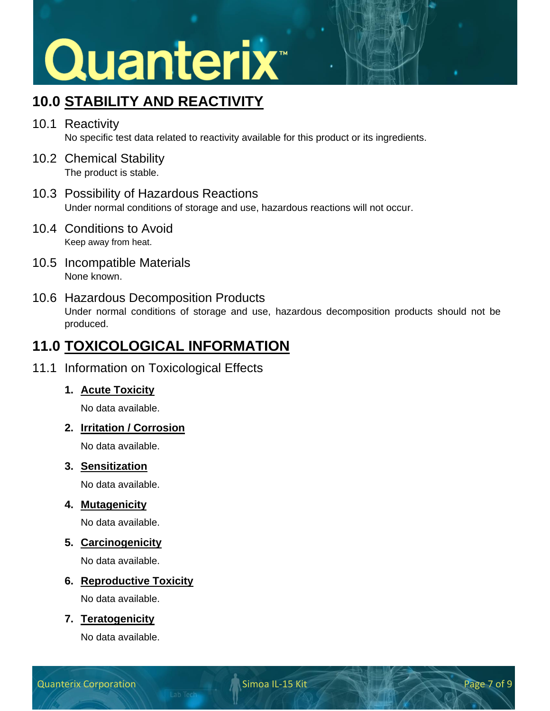## **10.0 STABILITY AND REACTIVITY**

- 10.1 Reactivity No specific test data related to reactivity available for this product or its ingredients.
- 10.2 Chemical Stability The product is stable.
- 10.3 Possibility of Hazardous Reactions Under normal conditions of storage and use, hazardous reactions will not occur.
- 10.4 Conditions to Avoid Keep away from heat.
- 10.5 Incompatible Materials None known.

#### 10.6 Hazardous Decomposition Products

Under normal conditions of storage and use, hazardous decomposition products should not be produced.

### **11.0 TOXICOLOGICAL INFORMATION**

#### 11.1 Information on Toxicological Effects

#### **1. Acute Toxicity**

No data available.

#### **2. Irritation / Corrosion**

No data available.

#### **3. Sensitization**

No data available.

#### **4. Mutagenicity**

No data available.

#### **5. Carcinogenicity**

No data available.

#### **6. Reproductive Toxicity**

No data available.

#### **7. Teratogenicity**

No data available.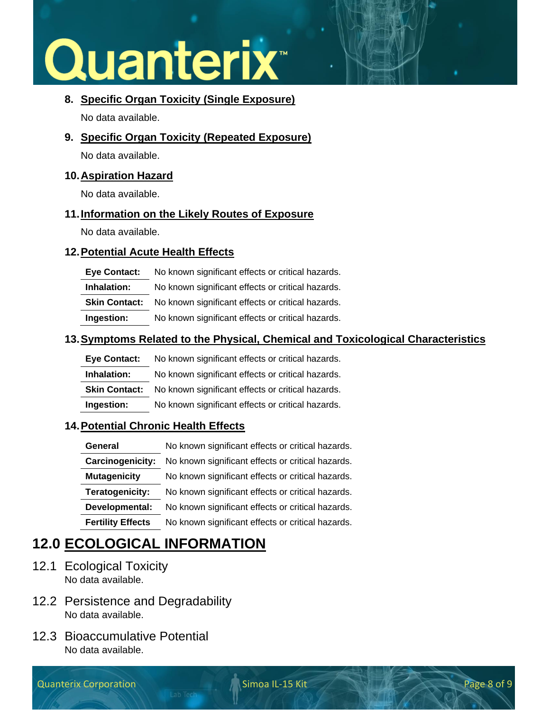## Quanterix<sup>®</sup>

#### **8. Specific Organ Toxicity (Single Exposure)**

No data available.

**9. Specific Organ Toxicity (Repeated Exposure)**

No data available.

#### **10.Aspiration Hazard**

No data available.

#### **11.Information on the Likely Routes of Exposure**

No data available.

#### **12.Potential Acute Health Effects**

| <b>Eve Contact:</b>  | No known significant effects or critical hazards. |
|----------------------|---------------------------------------------------|
| Inhalation:          | No known significant effects or critical hazards. |
| <b>Skin Contact:</b> | No known significant effects or critical hazards. |
| Ingestion:           | No known significant effects or critical hazards. |

#### **13.Symptoms Related to the Physical, Chemical and Toxicological Characteristics**

| <b>Eve Contact:</b>  | No known significant effects or critical hazards. |
|----------------------|---------------------------------------------------|
| Inhalation:          | No known significant effects or critical hazards. |
| <b>Skin Contact:</b> | No known significant effects or critical hazards. |
| Ingestion:           | No known significant effects or critical hazards. |

#### **14.Potential Chronic Health Effects**

| General                  | No known significant effects or critical hazards. |
|--------------------------|---------------------------------------------------|
| Carcinogenicity:         | No known significant effects or critical hazards. |
| <b>Mutagenicity</b>      | No known significant effects or critical hazards. |
| Teratogenicity:          | No known significant effects or critical hazards. |
| Developmental:           | No known significant effects or critical hazards. |
| <b>Fertility Effects</b> | No known significant effects or critical hazards. |

## **12.0 ECOLOGICAL INFORMATION**

- 12.1 Ecological Toxicity No data available.
- 12.2 Persistence and Degradability No data available.
- 12.3 Bioaccumulative Potential No data available.